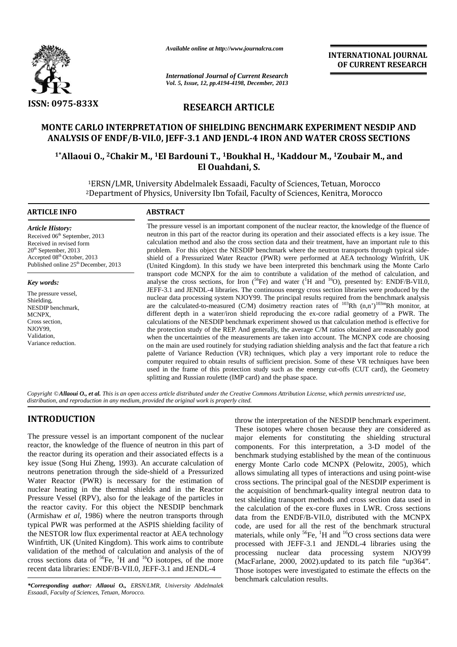

*Available online at http://www.journalcra.com*

# **RESEARCH ARTICLE**

# **MONTE CARLO INTERPRETATION OF SHIELDING BENCHMARK EXPERIMENT NESDIP AND ANALYSIS OF ENDF/B-VII.0, JEFF-3.1 AND JENDL-4 IRON AND WATER CROSS SECTIONS**

# <sup>1</sup>\*Allaoui O., <sup>2</sup>Chakir M., <sup>1</sup>El Bardouni T., <sup>1</sup>Boukhal H., <sup>1</sup>Kaddour M., <sup>1</sup>Zoubair M., and **El Ouahdani, S.**

|                                                                                                                                                                                                                                                                                                                                                                               | Available online at http://www.journalcra.com                                                                                                                                                                                                                                                                                                                                                                                                                                                                                                                                                                                                                                                                                                                                                                                                                                                                                                                                                                       |                                                                                                                                                                                                                                                                                                                                                                                                                                                                                                                                                                                                                                                                                                                                                                                                                                                                                                                                                                                                                                                                                                                                                                                                                                                                                                                                                                                                                                                                                                                                                                                                                                                                                                                                                                                                                                                                                                                                                                                                                                                                                                     | <b>INTERNATIONAL JOURNAL</b>                                                                                                                                                                                                                                                                                                                                                                                                                                                                                                                                                                                                                                                                                                                                                                                                                                                                                                                                                                                                                                                                                         |  |  |  |  |  |  |
|-------------------------------------------------------------------------------------------------------------------------------------------------------------------------------------------------------------------------------------------------------------------------------------------------------------------------------------------------------------------------------|---------------------------------------------------------------------------------------------------------------------------------------------------------------------------------------------------------------------------------------------------------------------------------------------------------------------------------------------------------------------------------------------------------------------------------------------------------------------------------------------------------------------------------------------------------------------------------------------------------------------------------------------------------------------------------------------------------------------------------------------------------------------------------------------------------------------------------------------------------------------------------------------------------------------------------------------------------------------------------------------------------------------|-----------------------------------------------------------------------------------------------------------------------------------------------------------------------------------------------------------------------------------------------------------------------------------------------------------------------------------------------------------------------------------------------------------------------------------------------------------------------------------------------------------------------------------------------------------------------------------------------------------------------------------------------------------------------------------------------------------------------------------------------------------------------------------------------------------------------------------------------------------------------------------------------------------------------------------------------------------------------------------------------------------------------------------------------------------------------------------------------------------------------------------------------------------------------------------------------------------------------------------------------------------------------------------------------------------------------------------------------------------------------------------------------------------------------------------------------------------------------------------------------------------------------------------------------------------------------------------------------------------------------------------------------------------------------------------------------------------------------------------------------------------------------------------------------------------------------------------------------------------------------------------------------------------------------------------------------------------------------------------------------------------------------------------------------------------------------------------------------------|----------------------------------------------------------------------------------------------------------------------------------------------------------------------------------------------------------------------------------------------------------------------------------------------------------------------------------------------------------------------------------------------------------------------------------------------------------------------------------------------------------------------------------------------------------------------------------------------------------------------------------------------------------------------------------------------------------------------------------------------------------------------------------------------------------------------------------------------------------------------------------------------------------------------------------------------------------------------------------------------------------------------------------------------------------------------------------------------------------------------|--|--|--|--|--|--|
|                                                                                                                                                                                                                                                                                                                                                                               | <b>International Journal of Current Research</b><br>Vol. 5, Issue, 12, pp.4194-4198, December, 2013                                                                                                                                                                                                                                                                                                                                                                                                                                                                                                                                                                                                                                                                                                                                                                                                                                                                                                                 | OF CURRENT RESEARCH                                                                                                                                                                                                                                                                                                                                                                                                                                                                                                                                                                                                                                                                                                                                                                                                                                                                                                                                                                                                                                                                                                                                                                                                                                                                                                                                                                                                                                                                                                                                                                                                                                                                                                                                                                                                                                                                                                                                                                                                                                                                                 |                                                                                                                                                                                                                                                                                                                                                                                                                                                                                                                                                                                                                                                                                                                                                                                                                                                                                                                                                                                                                                                                                                                      |  |  |  |  |  |  |
| <b>ISSN: 0975-833X</b>                                                                                                                                                                                                                                                                                                                                                        | <b>RESEARCH ARTICLE</b>                                                                                                                                                                                                                                                                                                                                                                                                                                                                                                                                                                                                                                                                                                                                                                                                                                                                                                                                                                                             |                                                                                                                                                                                                                                                                                                                                                                                                                                                                                                                                                                                                                                                                                                                                                                                                                                                                                                                                                                                                                                                                                                                                                                                                                                                                                                                                                                                                                                                                                                                                                                                                                                                                                                                                                                                                                                                                                                                                                                                                                                                                                                     |                                                                                                                                                                                                                                                                                                                                                                                                                                                                                                                                                                                                                                                                                                                                                                                                                                                                                                                                                                                                                                                                                                                      |  |  |  |  |  |  |
|                                                                                                                                                                                                                                                                                                                                                                               | ANALYSIS OF ENDF/B-VII.0, JEFF-3.1 AND JENDL-4 IRON AND WATER CROSS SECTIONS                                                                                                                                                                                                                                                                                                                                                                                                                                                                                                                                                                                                                                                                                                                                                                                                                                                                                                                                        |                                                                                                                                                                                                                                                                                                                                                                                                                                                                                                                                                                                                                                                                                                                                                                                                                                                                                                                                                                                                                                                                                                                                                                                                                                                                                                                                                                                                                                                                                                                                                                                                                                                                                                                                                                                                                                                                                                                                                                                                                                                                                                     | MONTE CARLO INTERPRETATION OF SHIELDING BENCHMARK EXPERIMENT NESDIP AND                                                                                                                                                                                                                                                                                                                                                                                                                                                                                                                                                                                                                                                                                                                                                                                                                                                                                                                                                                                                                                              |  |  |  |  |  |  |
|                                                                                                                                                                                                                                                                                                                                                                               | <sup>1</sup> *Allaoui O., <sup>2</sup> Chakir M., <sup>1</sup> El Bardouni T., <sup>1</sup> Boukhal H., <sup>1</sup> Kaddour M., <sup>1</sup> Zoubair M., and<br>El Ouahdani, S.                                                                                                                                                                                                                                                                                                                                                                                                                                                                                                                                                                                                                                                                                                                                                                                                                                    |                                                                                                                                                                                                                                                                                                                                                                                                                                                                                                                                                                                                                                                                                                                                                                                                                                                                                                                                                                                                                                                                                                                                                                                                                                                                                                                                                                                                                                                                                                                                                                                                                                                                                                                                                                                                                                                                                                                                                                                                                                                                                                     |                                                                                                                                                                                                                                                                                                                                                                                                                                                                                                                                                                                                                                                                                                                                                                                                                                                                                                                                                                                                                                                                                                                      |  |  |  |  |  |  |
|                                                                                                                                                                                                                                                                                                                                                                               | <sup>1</sup> ERSN/LMR, University Abdelmalek Essaadi, Faculty of Sciences, Tetuan, Morocco<br><sup>2</sup> Department of Physics, University Ibn Tofail, Faculty of Sciences, Kenitra, Morocco                                                                                                                                                                                                                                                                                                                                                                                                                                                                                                                                                                                                                                                                                                                                                                                                                      |                                                                                                                                                                                                                                                                                                                                                                                                                                                                                                                                                                                                                                                                                                                                                                                                                                                                                                                                                                                                                                                                                                                                                                                                                                                                                                                                                                                                                                                                                                                                                                                                                                                                                                                                                                                                                                                                                                                                                                                                                                                                                                     |                                                                                                                                                                                                                                                                                                                                                                                                                                                                                                                                                                                                                                                                                                                                                                                                                                                                                                                                                                                                                                                                                                                      |  |  |  |  |  |  |
| <b>ARTICLE INFO</b>                                                                                                                                                                                                                                                                                                                                                           | <b>ABSTRACT</b>                                                                                                                                                                                                                                                                                                                                                                                                                                                                                                                                                                                                                                                                                                                                                                                                                                                                                                                                                                                                     |                                                                                                                                                                                                                                                                                                                                                                                                                                                                                                                                                                                                                                                                                                                                                                                                                                                                                                                                                                                                                                                                                                                                                                                                                                                                                                                                                                                                                                                                                                                                                                                                                                                                                                                                                                                                                                                                                                                                                                                                                                                                                                     |                                                                                                                                                                                                                                                                                                                                                                                                                                                                                                                                                                                                                                                                                                                                                                                                                                                                                                                                                                                                                                                                                                                      |  |  |  |  |  |  |
| <b>Article History:</b><br>Received 06 <sup>th</sup> September, 2013<br>Received in revised form<br>20 <sup>th</sup> September, 2013<br>Accepted 08th October, 2013<br>Published online 25 <sup>th</sup> December, 2013<br>Key words:<br>The pressure vessel,<br>Shielding,<br>NESDIP benchmark,<br>MCNPX,<br>Cross section,<br>NJOY99,<br>Validation,<br>Variance reduction. |                                                                                                                                                                                                                                                                                                                                                                                                                                                                                                                                                                                                                                                                                                                                                                                                                                                                                                                                                                                                                     | The pressure vessel is an important component of the nuclear reactor, the knowledge of the fluence of<br>neutron in this part of the reactor during its operation and their associated effects is a key issue. The<br>calculation method and also the cross section data and their treatment, have an important rule to this<br>problem. For this object the NESDIP benchmark where the neutron transports through typical side-<br>shield of a Pressurized Water Reactor (PWR) were performed at AEA technology Winfrith, UK<br>(United Kingdom). In this study we have been interpreted this benchmark using the Monte Carlo<br>transport code MCNPX for the aim to contribute a validation of the method of calculation, and<br>analyse the cross sections, for Iron ( ${}^{56}Fe$ ) and water ( ${}^{1}H$ and ${}^{16}O$ ), presented by: ENDF/B-VII.0,<br>JEFF-3.1 and JENDL-4 libraries. The continuous energy cross section libraries were produced by the<br>nuclear data processing system NJOY99. The principal results required from the benchmark analysis<br>are the calculated-to-measured (C/M) dosimetry reaction rates of $^{103}Rh$ (n,n') <sup>103m</sup> Rh monitor, at<br>different depth in a water/iron shield reproducing the ex-core radial geometry of a PWR. The<br>calculations of the NESDIP benchmark experiment showed us that calculation method is effective for<br>the protection study of the REP. And generally, the average C/M ratios obtained are reasonably good<br>when the uncertainties of the measurements are taken into account. The MCNPX code are choosing<br>on the main are used routinely for studying radiation shielding analysis and the fact that feature a rich<br>palette of Variance Reduction (VR) techniques, which play a very important role to reduce the<br>computer required to obtain results of sufficient precision. Some of these VR techniques have been<br>used in the frame of this protection study such as the energy cut-offs (CUT card), the Geometry<br>splitting and Russian roulette (IMP card) and the phase space. |                                                                                                                                                                                                                                                                                                                                                                                                                                                                                                                                                                                                                                                                                                                                                                                                                                                                                                                                                                                                                                                                                                                      |  |  |  |  |  |  |
|                                                                                                                                                                                                                                                                                                                                                                               | Copyright © Allaoui O., et al. This is an open access article distributed under the Creative Commons Attribution License, which permits unrestricted use,<br>distribution, and reproduction in any medium, provided the original work is properly cited.                                                                                                                                                                                                                                                                                                                                                                                                                                                                                                                                                                                                                                                                                                                                                            |                                                                                                                                                                                                                                                                                                                                                                                                                                                                                                                                                                                                                                                                                                                                                                                                                                                                                                                                                                                                                                                                                                                                                                                                                                                                                                                                                                                                                                                                                                                                                                                                                                                                                                                                                                                                                                                                                                                                                                                                                                                                                                     |                                                                                                                                                                                                                                                                                                                                                                                                                                                                                                                                                                                                                                                                                                                                                                                                                                                                                                                                                                                                                                                                                                                      |  |  |  |  |  |  |
| <b>INTRODUCTION</b>                                                                                                                                                                                                                                                                                                                                                           | The pressure vessel is an important component of the nuclear<br>reactor, the knowledge of the fluence of neutron in this part of<br>the reactor during its operation and their associated effects is a<br>key issue (Song Hui Zheng, 1993). An accurate calculation of<br>neutrons penetration through the side-shield of a Pressurized<br>Water Reactor (PWR) is necessary for the estimation of<br>nuclear heating in the thermal shields and in the Reactor<br>Pressure Vessel (RPV), also for the leakage of the particles in<br>the reactor cavity. For this object the NESDIP benchmark<br>(Armishaw et al, 1986) where the neutron transports through<br>typical PWR was performed at the ASPIS shielding facility of<br>the NESTOR low flux experimental reactor at AEA technology<br>Winfrtith, UK (United Kingdom). This work aims to contribute<br>validation of the method of calculation and analysis of the of<br>cross sections data of ${}^{56}Fe$ , ${}^{1}H$ and ${}^{16}O$ isotopes, of the more |                                                                                                                                                                                                                                                                                                                                                                                                                                                                                                                                                                                                                                                                                                                                                                                                                                                                                                                                                                                                                                                                                                                                                                                                                                                                                                                                                                                                                                                                                                                                                                                                                                                                                                                                                                                                                                                                                                                                                                                                                                                                                                     | throw the interpretation of the NESDIP benchmark experiment.<br>These isotopes where chosen because they are considered as<br>major elements for constituting the shielding structural<br>components. For this interpretation, a 3-D model of the<br>benchmark studying established by the mean of the continuous<br>energy Monte Carlo code MCNPX (Pelowitz, 2005), which<br>allows simulating all types of interactions and using point-wise<br>cross sections. The principal goal of the NESDIP experiment is<br>the acquisition of benchmark-quality integral neutron data to<br>test shielding transport methods and cross section data used in<br>the calculation of the ex-core fluxes in LWR. Cross sections<br>data from the ENDF/B-VII.0, distributed with the MCNPX<br>code, are used for all the rest of the benchmark structural<br>materials, while only ${}^{56}Fe$ , ${}^{1}H$ and ${}^{16}O$ cross sections data were<br>processed with JEFF-3.1 and JENDL-4 libraries using the<br>processing nuclear data processing system NJOY99<br>(MacFarlane, 2000, 2002).updated to its patch file "up364". |  |  |  |  |  |  |

## **INTRODUCTION**

The pressure vessel is an important component of the nuclear reactor, the knowledge of the fluence of neutron in this part of  $_{\rm co}$ the reactor during its operation and their associated effects is a key issue (Song Hui Zheng, 1993). An accurate calculation of en neutrons penetration through the side-shield of a Pressurized Water Reactor (PWR) is necessary for the estimation of nuclear heating in the thermal shields and in the Reactor Pressure Vessel (RPV), also for the leakage of the particles in the reactor cavity. For this object the NESDIP benchmark the  $c$ (Armishaw *et al*, 1986) where the neutron transports through data typical PWR was performed at the ASPIS shielding facility of typical PWR was performed at the ASPIS shielding facility of code,<br>the NESTOR low flux experimental reactor at AEA technology mater Winfrtith, UK (United Kingdom). This work aims to contribute validation of the method of calculation and analysis of the of cross sections data of  ${}^{56}Fe$ ,  ${}^{1}H$  and  ${}^{16}O$  isotopes, of the more (Ma Winfrith, UK (United Kingdom). This work aims to contribute provalidation of the method of calculation and analysis of the of process sections data of  ${}^{56}Fe$ ,  ${}^{1}H$  and  ${}^{16}O$  isotopes, of the more (M recent data li reactor during its operation and their associated effects is a<br>issue (Song Hui Zheng, 1993). An accurate calculation of<br>trons penetration through the side-shield of a Pressurized<br>allow<br>ter Reactor (PWR) is necessary for th

\***Corresponding author: Allaoui O.,** ERSN/LMR, University Abdelmalek<br>Essaadi, Faculty of Sciences, Tetuan, Morocco. *Essaadi, Faculty of Sciences, Tetuan, Morocco.*

throw the interpretation of the NESDIP benchmark experiment. These isotopes where chosen because they are considered as major elements for constituting the shielding structural throw the interpretation of the NESDIP benchmark experiment.<br>These isotopes where chosen because they are considered as<br>major elements for constituting the shielding structural<br>components. For this interpretation, a 3-D mo benchmark studying established by the mean of the continuous energy Monte Carlo code MCNPX (Pelowitz, 2005), which allows simulating all types of interactions and using point-wise cross sections. The principal goal of the NESDIP experiment is the acquisition of benchmark-quality integral neutron data to test shielding transport methods and cross section data used in the calculation of the ex-core fluxes in LWR. Cross sections data from the ENDF/B-VII.0, distributed with the MCNPX code, are used for all the rest of the benchmark structural data from the ENDF/B-VII.0, distributed with the MCNPX code, are used for all the rest of the benchmark structural materials, while only  ${}^{56}Fe$ ,  ${}^{1}H$  and  ${}^{16}O$  cross sections data were processed with JEFF-3.1 and JENDL-4 libraries using the processing nuclear data processing system NJOY99 (MacFarlane, 2000, 2002).updated to its patch file "up364". Those isotopes were investigated to estimate the effects on the benchmark calculation results. is sections. The principal goal of the NESDIP experiment is<br>acquisition of benchmark-quality integral neutron data to<br>shielding transport methods and cross section data used in<br>calculation of the ex-core fluxes in LWR. Cro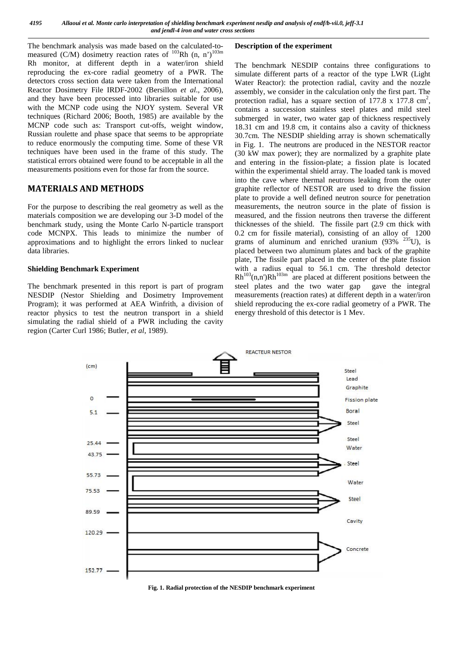The benchmark analysis was made based on the calculated-to measured (C/M) dosimetry reaction rates of  $103Rh$  (n, n') $103m$ Rh monitor, at different depth in a water/iron shield reproducing the ex-core radial geometry of a PWR. The detectors cross section data were taken from the International Reactor Dosimetry File IRDF-2002 (Bersillon *et al*., 2006), and they have been processed into libraries suitable for use with the MCNP code using the NJOY system. Several VR techniques (Richard 2006; Booth, 1985) are available by the MCNP code such as: Transport cut-offs, weight window, Russian roulette and phase space that seems to be appropriate to reduce enormously the computing time. Some of these VR techniques have been used in the frame of this study. The statistical errors obtained were found to be acceptable in all the measurements positions even for those far from the source.

### **MATERIALS AND METHODS**

For the purpose to describing the real geometry as well as the materials composition we are developing our 3-D model of the benchmark study, using the Monte Carlo N-particle transport code MCNPX. This leads to minimize the number of approximations and to highlight the errors linked to nuclear data libraries.

### **Shielding Benchmark Experiment**

The benchmark presented in this report is part of program NESDIP (Nestor Shielding and Dosimetry Improvement Program); it was performed at AEA Winfrith, a division of reactor physics to test the neutron transport in a shield simulating the radial shield of a PWR including the cavity region (Carter Curl 1986; Butler, *et al*, 1989).

### **Description of the experiment**

The benchmark NESDIP contains three configurations to simulate different parts of a reactor of the type LWR (Light Water Reactor): the protection radial, cavity and the nozzle assembly, we consider in the calculation only the first part. The protection radial, has a square section of  $177.8 \times 177.8 \text{ cm}^2$ , contains a succession stainless steel plates and mild steel submerged in water, two water gap of thickness respectively 18.31 cm and 19.8 cm, it contains also a cavity of thickness 30.7cm. The NESDIP shielding array is shown schematically in Fig. 1. The neutrons are produced in the NESTOR reactor (30 kW max power); they are normalized by a graphite plate and entering in the fission-plate; a fission plate is located within the experimental shield array. The loaded tank is moved into the cave where thermal neutrons leaking from the outer graphite reflector of NESTOR are used to drive the fission plate to provide a well defined neutron source for penetration measurements, the neutron source in the plate of fission is measured, and the fission neutrons then traverse the different thicknesses of the shield. The fissile part (2.9 cm thick with 0.2 cm for fissile material), consisting of an alloy of 1200 grams of aluminum and enriched uranium  $(93\%$ <sup>235</sup>U), is placed between two aluminum plates and back of the graphite plate, The fissile part placed in the center of the plate fission with a radius equal to 56.1 cm. The threshold detector  $Rh^{103}(n,n')Rh^{103m}$  are placed at different positions between the steel plates and the two water gap gave the integral measurements (reaction rates) at different depth in a water/iron shield reproducing the ex-core radial geometry of a PWR. The energy threshold of this detector is 1 Mev.



**Fig. 1. Radial protection of the NESDIP benchmark experiment**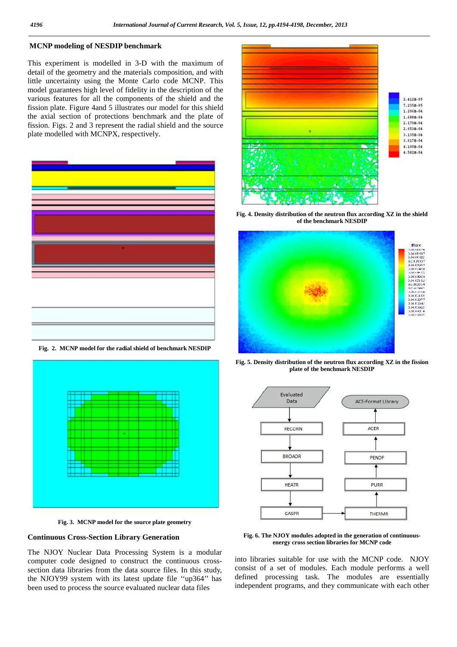### **MCNP modeling of NESDIP benchmark**

This experiment is modelled in 3-D with the maximum of detail of the geometry and the materials composition, and with little uncertainty using the Monte Carlo code MCNP. This model guarantees high level of fidelity in the description of the various features for all the components of the shield and the fission plate. Figure 4and 5 illustrates our model for this shield the axial section of protections benchmark and the plate of fission. Figs. 2 and 3 represent the radial shield and the source plate modelled with MCNPX, respectively.



**Fig. 2. MCNP model for the radial shield of benchmark NESDIP**



**Fig. 3. MCNP model for the source plate geometry**

#### **Continuous Cross-Section Library Generation**

The NJOY Nuclear Data Processing System is a modular computer code designed to construct the continuous cross section data libraries from the data source files. In this study, the NJOY99 system with its latest update file ''up364'' has been used to process the source evaluated nuclear data files



**Fig. 4. Density distribution of the neutron flux according XZ in the shield of the benchmark NESDIP**



**Fig. 5. Density distribution of the neutron flux according XZ in the fission plate of the benchmark NESDIP**



**Fig. 6. The NJOY modules adopted in the generation of continuous energy cross section libraries for MCNP code**

into libraries suitable for use with the MCNP code. NJOY consist of a set of modules. Each module performs a well defined processing task. The modules are essentially independent programs, and they communicate with each other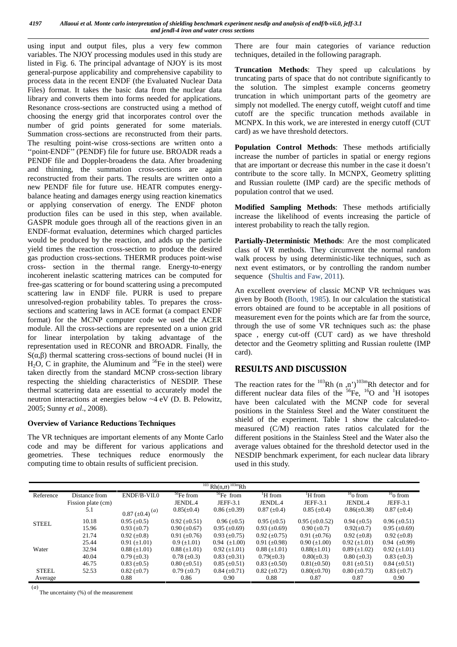using input and output files, plus a very few common variables. The NJOY processing modules used in this study are listed in Fig. 6. The principal advantage of NJOY is its most general-purpose applicability and comprehensive capability to process data in the recent ENDF (the Evaluated Nuclear Data Files) format. It takes the basic data from the nuclear data library and converts them into forms needed for applications. Resonance cross-sections are constructed using a method of choosing the energy grid that incorporates control over the number of grid points generated for some materials. Summation cross-sections are reconstructed from their parts. The resulting point-wise cross-sections are written onto a ''point-ENDF'' (PENDF) file for future use. BROADR reads a PENDF file and Doppler-broadens the data. After broadening and thinning, the summation cross-sections are again reconstructed from their parts. The results are written onto a new PENDF file for future use. HEATR computes energy balance heating and damages energy using reaction kinematics or applying conservation of energy. The ENDF photon production files can be used in this step, when available. GASPR module goes through all of the reactions given in an ENDF-format evaluation, determines which charged particles would be produced by the reaction, and adds up the particle yield times the reaction cross-section to produce the desired gas production cross-sections. THERMR produces point-wise cross- section in the thermal range. Energy-to-energy incoherent inelastic scattering matrices can be computed for free-gas scattering or for bound scattering using a precomputed scattering law in ENDF file. PURR is used to prepare unresolved-region probability tables. To prepares the cross sections and scattering laws in ACE format (a compact ENDF format) for the MCNP computer code we used the ACER module. All the cross-sections are represented on a union grid for linear interpolation by taking advantage of the representation used in RECONR and BROADR. Finally, the  $S($ , ) thermal scattering cross-sections of bound nuclei (H in  $H<sub>2</sub>O$ , C in graphite, the Aluminum and <sup>56</sup>Fe in the steel) were taken directly from the standard MCNP cross-section library respecting the shielding characteristics of NESDIP. These thermal scattering data are essential to accurately model the neutron interactions at energies below ~4 eV (D. B. Pelowitz, 2005; Sunny *et al*., 2008).

### **Overview of Variance Reductions Techniques**

The VR techniques are important elements of any Monte Carlo code and may be different for various applications and geometries. These techniques reduce enormously the computing time to obtain results of sufficient precision.

There are four main categories of variance reduction techniques, detailed in the following paragraph.

**Truncation Methods**: They speed up calculations by truncating parts of space that do not contribute significantly to the solution. The simplest example concerns geometry truncation in which unimportant parts of the geometry are simply not modelled. The energy cutoff, weight cutoff and time cutoff are the specific truncation methods available in MCNPX. In this work, we are interested in energy cutoff (CUT card) as we have threshold detectors.

**Population Control Methods**: These methods artificially increase the number of particles in spatial or energy regions that are important or decrease this number in the case it doesn't contribute to the score tally. In MCNPX, Geometry splitting and Russian roulette (IMP card) are the specific methods of population control that we used.

**Modified Sampling Methods**: These methods artificially increase the likelihood of events increasing the particle of interest probability to reach the tally region.

**Partially-Deterministic Methods**: Are the most complicated class of VR methods. They circumvent the normal random walk process by using deterministic-like techniques, such as next event estimators, or by controlling the random number sequence (Shultis and Faw, 2011).

An excellent overview of classic MCNP VR techniques was given by Booth (Booth, 1985). In our calculation the statistical errors obtained are found to be acceptable in all positions of measurement even for the points which are far from the source, through the use of some VR techniques such as: the phase space , energy cut-off (CUT card) as we have threshold detector and the Geometry splitting and Russian roulette (IMP card).

## **RESULTS AND DISCUSSION**

The reaction rates for the  $^{103}$ Rh (n,n<sup>'</sup>)<sup>103m</sup>Rh detector and for different nuclear data files of the  ${}^{56}Fe$ ,  ${}^{16}O$  and  ${}^{1}H$  isotopes have been calculated with the MCNP code for several positions in the Stainless Steel and the Water constituent the shield of the experiment. Table 1 show the calculated-to measured (C/M) reaction rates ratios calculated for the different positions in the Stainless Steel and the Water also the average values obtained for the threshold detector used in the NESDIP benchmark experiment, for each nuclear data library used in this study.

|                                                  |                    |                                              |                     | $103$ Rh(n,n) <sup>103m</sup> Rh |                     |                       |                     |                     |
|--------------------------------------------------|--------------------|----------------------------------------------|---------------------|----------------------------------|---------------------|-----------------------|---------------------|---------------------|
| Reference                                        | Distance from      | $ENDF/B-VII.0$                               | $56$ Fe from        | $56$ Fe from                     | <sup>'</sup> H from | <sup>'</sup> H from   | $16$ o from         | $16$ o from         |
|                                                  | Fission plate (cm) |                                              | JENDL.4             | JEFF-3.1                         | JENDL <sub>4</sub>  | JEFF-3.1              | JENDL.4             | JEFF-3.1            |
|                                                  | 5.1                | $0.87 \left( \pm 0.4 \right)$ <sup>(a)</sup> | $0.85(\pm 0.4)$     | $0.86 (\pm 0.39)$                | $0.87 (\pm 0.4)$    | $0.85 (\pm 0.4)$      | $0.86(\pm 0.38)$    | $0.87 (\pm 0.4)$    |
| 10.18<br><b>STEEL</b><br>15.96<br>21.74<br>25.44 |                    | $0.95 \ (\pm 0.5)$                           | $0.92 \ (\pm 0.51)$ | $0.96 \ (\pm 0.5)$               | $0.95 (\pm 0.5)$    | $0.95 \ (\pm 0.0.52)$ | $0.94 \ (\pm 0.5)$  | $0.96 \ (\pm 0.51)$ |
|                                                  |                    | $0.93 \ (\pm 0.7)$                           | $0.90 \ (\pm 0.67)$ | $0.95 \ (\pm 0.69)$              | $0.93 \ (\pm 0.69)$ | $0.90 \ (\pm 0.7)$    | $0.92(\pm 0.7)$     | $0.95 \ (\pm 0.69)$ |
|                                                  |                    | $0.92 \ (\pm 0.8)$                           | $0.91 (\pm 0.76)$   | $0.93 \ (\pm 0.75)$              | $0.92 \ (\pm 0.75)$ | $0.91 (\pm 0.76)$     | $0.92 \ (\pm 0.8)$  | $0.92 \ (\pm 0.8)$  |
|                                                  |                    | $0.91 (\pm 1.01)$                            | $0.9 \ (\pm 1.01)$  | $0.94 \ (\pm 1.00)$              | $0.91 \ (\pm 0.98)$ | $0.90 (\pm 1.00)$     | $0.92 \ (\pm 1.01)$ | $0.94 \ (\pm 0.99)$ |
| Water                                            | 32.94              | $0.88 (\pm 1.01)$                            | $0.88 (\pm 1.01)$   | $0.92 \ (\pm 1.01)$              | $0.88 \ (\pm 1.01)$ | $0.88(\pm 1.01)$      | $0.89 \ (\pm 1.02)$ | $0.92 \ (\pm 1.01)$ |
|                                                  | 40.04              | $0.79 \ (\pm 0.3)$                           | $0.78 (\pm 0.3)$    | $0.83 \ (\pm 0.31)$              | $0.79(\pm 0.3)$     | $0.80(\pm 0.3)$       | $0.80 (\pm 0.3)$    | $0.83~(\pm 0.3)$    |
|                                                  | 46.75              | $0.83 \ (\pm 0.5)$                           | $0.80 \ (\pm 0.51)$ | $0.85 \ (\pm 0.51)$              | $0.83 \ (\pm 0.50)$ | $0.81(\pm 0.50)$      | $0.81 (\pm 0.51)$   | $0.84 \ (\pm 0.51)$ |
| <b>STEEL</b>                                     | 52.53              | $0.82 \ (\pm 0.7)$                           | $0.79 \ (\pm 0.7)$  | $0.84 \ (\pm 0.71)$              | $0.82 \ (\pm 0.72)$ | $0.80(\pm 0.70)$      | $0.80 (\pm 0.73)$   | $0.83 \ (\pm 0.7)$  |
| Average                                          |                    | 0.88                                         | 0.86                | 0.90                             | 0.88                | 0.87                  | 0.87                | 0.90                |

(*a*) The uncertainty (%) of the measurement